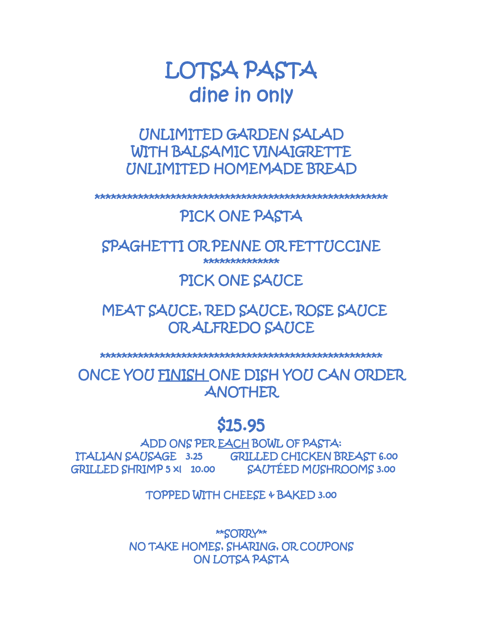# LOTSA PASTA dine in only

UNLIMITED GARDEN SALAD WITH BALSAMIC VINAIGRETTE UNLIMITED HOMEMADE BREAD

\*\*\*\*\*\*\*\*\*\*\*\*\*\*\*\*\*\*\*\*\*\*\*\*\*\*\*\*\*\*\*\*\*\*\*\*\*\*\*\*\*\*\*\*\*\*\*\*\*\*\*\*\*\*

# PICK ONE PASTA

SPAGHETTI OR PENNE OR FETTUCCINE \*\*\*\*\*\*\*\*\*\*\*\*\*\*

### PICK ONE SAUCE

# MEAT SAUCE, RED SAUCE, ROSE SAUCE OR ALFREDO SAUCE

\*\*\*\*\*\*\*\*\*\*\*\*\*\*\*\*\*\*\*\*\*\*\*\*\*\*\*\*\*\*\*\*\*\*\*\*\*\*\*\*\*\*\*\*\*\*\*\*\*\*\*\*

ONCE YOU FINISH ONE DISH YOU CAN ORDER ANOTHER

# \$15.95

ADD ONS PER EACH BOWL OF PASTA: ITALIAN SAUSAGE 3.25 GRILLED CHICKEN BREAST 6.00 GRILLED SHRIMP 5 xl 10.00 SAUTÉED MUSHROOMS 3.00

TOPPED WITH CHEESE & BAKED 3.00

\*\*SORRY\*\* NO TAKE HOMES, SHARING, OR COUPONS ON LOTSA PASTA